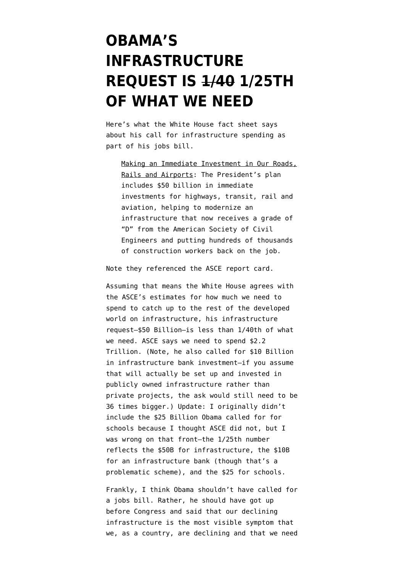## **[OBAMA'S](https://www.emptywheel.net/2011/09/09/obamas-infrastructure-request-is-140th-of-what-we-need/) [INFRASTRUCTURE](https://www.emptywheel.net/2011/09/09/obamas-infrastructure-request-is-140th-of-what-we-need/) [REQUEST IS 1/40 1/25TH](https://www.emptywheel.net/2011/09/09/obamas-infrastructure-request-is-140th-of-what-we-need/) [OF WHAT WE NEED](https://www.emptywheel.net/2011/09/09/obamas-infrastructure-request-is-140th-of-what-we-need/)**

Here's what the White House [fact sheet](http://www.whitehouse.gov/the-press-office/2011/09/08/fact-sheet-american-jobs-act) says about his call for infrastructure spending as part of his jobs bill.

Making an Immediate Investment in Our Roads, Rails and Airports: The President's plan includes \$50 billion in immediate investments for highways, transit, rail and aviation, helping to modernize an infrastructure that now receives a grade of "D" from the American Society of Civil Engineers and putting hundreds of thousands of construction workers back on the job.

Note they referenced the [ASCE report card.](http://www.infrastructurereportcard.org/)

Assuming that means the White House agrees with the ASCE's estimates for how much we need to spend to catch up to the rest of the developed world on infrastructure, his infrastructure request–\$50 Billion–is less than 1/40th of what we need. ASCE says we need to spend \$2.2 Trillion. (Note, he also called for \$10 Billion in infrastructure bank investment–if you assume that will actually be set up and invested in publicly owned infrastructure rather than private projects, the ask would still need to be 36 times bigger.) Update: I originally didn't include the \$25 Billion Obama called for for schools because I thought ASCE did not, but I was wrong on that front–the 1/25th number reflects the \$50B for infrastructure, the \$10B for an infrastructure bank (though that's a problematic scheme), and the \$25 for schools.

Frankly, I think Obama shouldn't have called for a jobs bill. Rather, he should have got up before Congress and said that our declining infrastructure is the most visible symptom that we, as a country, are declining and that we need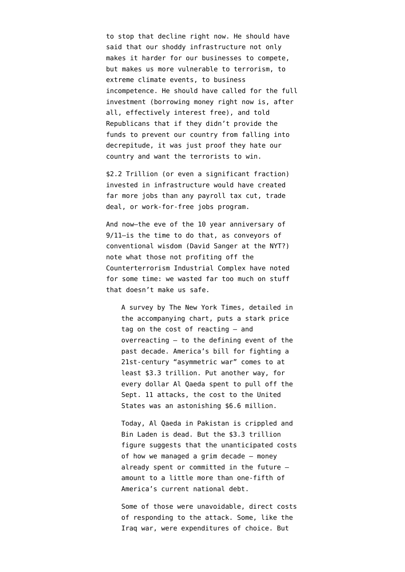to stop that decline right now. He should have said that our shoddy infrastructure not only makes it harder for our businesses to compete, but makes us more vulnerable to terrorism, to extreme climate events, to business incompetence. He should have called for the full investment (borrowing money right now is, after all, effectively interest free), and told Republicans that if they didn't provide the funds to prevent our country from falling into decrepitude, it was just proof they hate our country and want the terrorists to win.

\$2.2 Trillion (or even a significant fraction) invested in infrastructure would have created far more jobs than any payroll tax cut, trade deal, or work-for-free jobs program.

And now–the eve of the 10 year anniversary of 9/11–is the time to do that, as conveyors of conventional wisdom (David Sanger at the NYT?) note what those not profiting off the Counterterrorism Industrial Complex have noted for some time: [we wasted far too much](https://www.nytimes.com/2011/09/08/us/sept-11-reckoning/cost.html) on stuff that doesn't make us safe.

A survey by The New York Times, detailed in the accompanying chart, puts a stark price tag on the cost of reacting — and overreacting — to the defining event of the past decade. America's bill for fighting a 21st-century "asymmetric war" comes to at least \$3.3 trillion. Put another way, for every dollar Al Qaeda spent to pull off the Sept. 11 attacks, the cost to the United States was an astonishing \$6.6 million.

Today, Al Qaeda in Pakistan is crippled and Bin Laden is dead. But the \$3.3 trillion figure suggests that the unanticipated costs of how we managed a grim decade — money already spent or committed in the future amount to a little more than one-fifth of America's current national debt.

Some of those were unavoidable, direct costs of responding to the attack. Some, like the Iraq war, were expenditures of choice. But